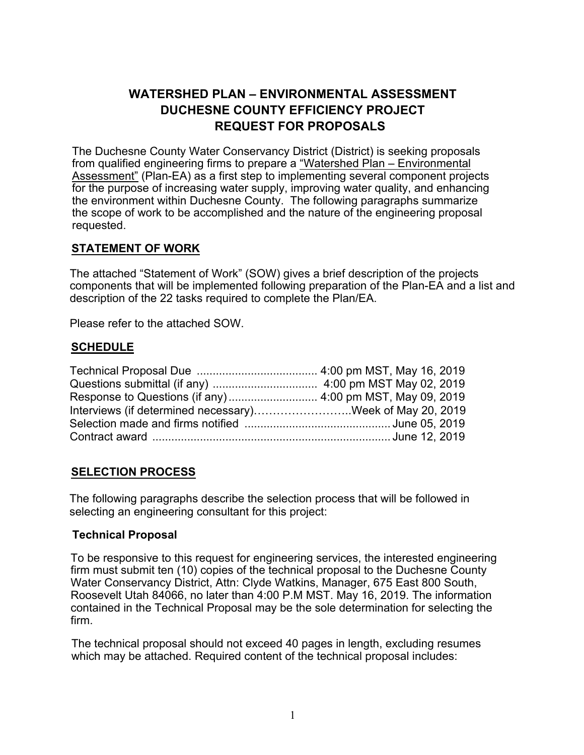# **WATERSHED PLAN – ENVIRONMENTAL ASSESSMENT DUCHESNE COUNTY EFFICIENCY PROJECT REQUEST FOR PROPOSALS**

The Duchesne County Water Conservancy District (District) is seeking proposals from qualified engineering firms to prepare a "Watershed Plan – Environmental Assessment" (Plan-EA) as a first step to implementing several component projects for the purpose of increasing water supply, improving water quality, and enhancing the environment within Duchesne County. The following paragraphs summarize the scope of work to be accomplished and the nature of the engineering proposal requested.

# **STATEMENT OF WORK**

The attached "Statement of Work" (SOW) gives a brief description of the projects components that will be implemented following preparation of the Plan-EA and a list and description of the 22 tasks required to complete the Plan/EA.

Please refer to the attached SOW.

### **SCHEDULE**

| Interviews (if determined necessary)Week of May 20, 2019 |  |
|----------------------------------------------------------|--|
|                                                          |  |
|                                                          |  |

# **SELECTION PROCESS**

The following paragraphs describe the selection process that will be followed in selecting an engineering consultant for this project:

# **Technical Proposal**

To be responsive to this request for engineering services, the interested engineering firm must submit ten (10) copies of the technical proposal to the Duchesne County Water Conservancy District, Attn: Clyde Watkins, Manager, 675 East 800 South, Roosevelt Utah 84066, no later than 4:00 P.M MST. May 16, 2019. The information contained in the Technical Proposal may be the sole determination for selecting the firm.

The technical proposal should not exceed 40 pages in length, excluding resumes which may be attached. Required content of the technical proposal includes: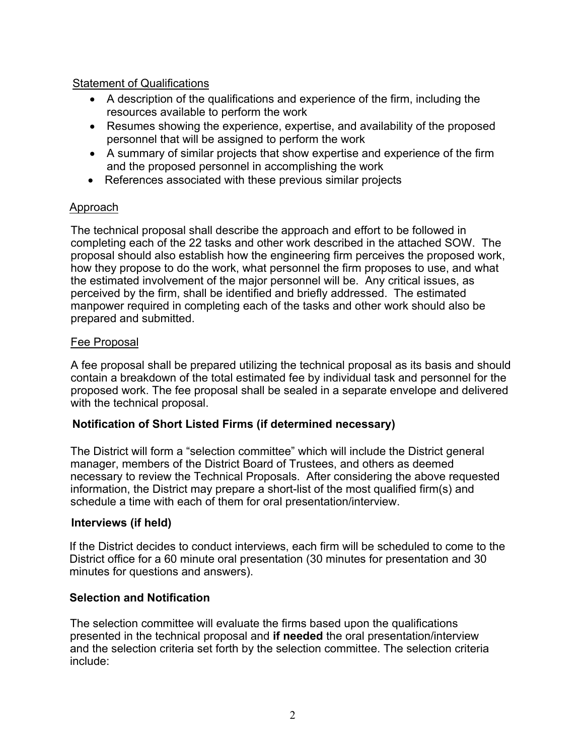### Statement of Qualifications

- A description of the qualifications and experience of the firm, including the resources available to perform the work
- Resumes showing the experience, expertise, and availability of the proposed personnel that will be assigned to perform the work
- A summary of similar projects that show expertise and experience of the firm and the proposed personnel in accomplishing the work
- References associated with these previous similar projects

# Approach

The technical proposal shall describe the approach and effort to be followed in completing each of the 22 tasks and other work described in the attached SOW. The proposal should also establish how the engineering firm perceives the proposed work, how they propose to do the work, what personnel the firm proposes to use, and what the estimated involvement of the major personnel will be. Any critical issues, as perceived by the firm, shall be identified and briefly addressed. The estimated manpower required in completing each of the tasks and other work should also be prepared and submitted.

### Fee Proposal

A fee proposal shall be prepared utilizing the technical proposal as its basis and should contain a breakdown of the total estimated fee by individual task and personnel for the proposed work. The fee proposal shall be sealed in a separate envelope and delivered with the technical proposal.

# **Notification of Short Listed Firms (if determined necessary)**

The District will form a "selection committee" which will include the District general manager, members of the District Board of Trustees, and others as deemed necessary to review the Technical Proposals. After considering the above requested information, the District may prepare a short-list of the most qualified firm(s) and schedule a time with each of them for oral presentation/interview.

#### **Interviews (if held)**

If the District decides to conduct interviews, each firm will be scheduled to come to the District office for a 60 minute oral presentation (30 minutes for presentation and 30 minutes for questions and answers).

#### **Selection and Notification**

The selection committee will evaluate the firms based upon the qualifications presented in the technical proposal and **if needed** the oral presentation/interview and the selection criteria set forth by the selection committee. The selection criteria include: